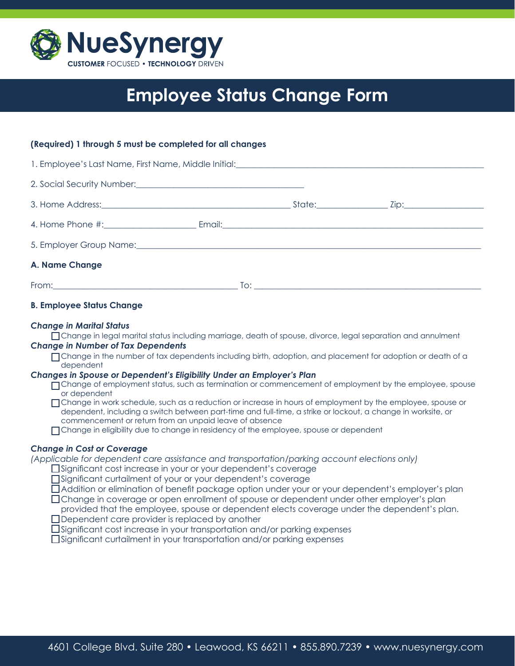

# **Employee Status Change Form**

# **(Required) 1 through 5 must be completed for all changes**

| 1. Employee's Last Name, First Name, Middle Initial: <b>Employee's Last Name, First Name, Middle Initial</b> :          |  |                                  |  |
|-------------------------------------------------------------------------------------------------------------------------|--|----------------------------------|--|
| 2. Social Security Number: <u>Communications</u>                                                                        |  |                                  |  |
|                                                                                                                         |  |                                  |  |
|                                                                                                                         |  |                                  |  |
| 5. Employer Group Name: <u>Cameran Alexander Annual Communication</u> and Communication of the Alexander Alexander Alex |  |                                  |  |
| A. Name Change                                                                                                          |  |                                  |  |
|                                                                                                                         |  | $\overline{1}$ o: $\overline{1}$ |  |

# **B. Employee Status Change**

# *Change in Marital Status*

Change in legal marital status including marriage, death of spouse, divorce, legal separation and annulment

# *Change in Number of Tax Dependents*

Tchange in the number of tax dependents including birth, adoption, and placement for adoption or death of a dependent

## *Changes in Spouse or Dependent's Eligibility Under an Employer's Plan*

- Change of employment status, such as termination or commencement of employment by the employee, spouse or dependent
- Change in work schedule, such as a reduction or increase in hours of employment by the employee, spouse or dependent, including a switch between part-time and full-time, a strike or lockout, a change in worksite, or commencement or return from an unpaid leave of absence
- Change in eligibility due to change in residency of the employee, spouse or dependent

# *Change in Cost or Coverage*

*(Applicable for dependent care assistance and transportation/parking account elections only)*

- □ Significant cost increase in your or your dependent's coverage
- Significant curtailment of your or your dependent's coverage
- Addition or elimination of benefit package option under your or your dependent's employer's plan
- Change in coverage or open enrollment of spouse or dependent under other employer's plan
- provided that the employee, spouse or dependent elects coverage under the dependent's plan.
- Dependent care provider is replaced by another
- Significant cost increase in your transportation and/or parking expenses

 Significant curtailment in your transportation and/or parking expenses